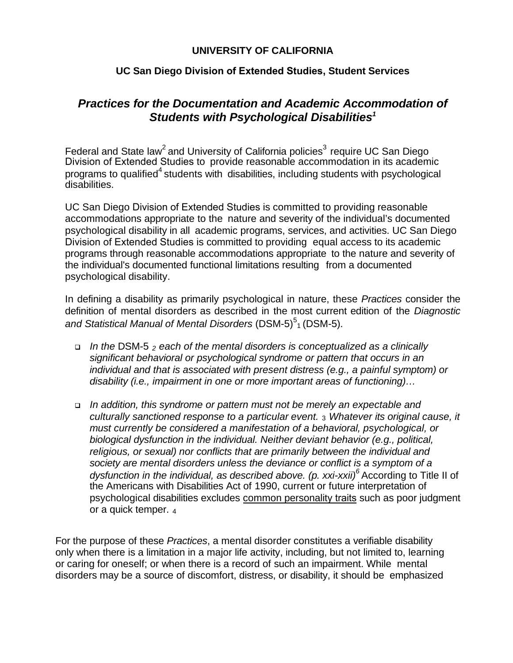## **UNIVERSITY OF CALIFORNIA**

## **UC San Diego Division of Extended Studies, Student Services**

# *Practices for the Documentation and Academic Accommodation of Students with Psychological Disabilities<sup>1</sup>*

Federal and State law<sup>[2](#page-2-1)</sup> and University of California policies<sup>3</sup> require UC San Diego Division of Extended Studies to provide reasonable accommodation in its academic programs to qualified<sup>4</sup> students [wit](#page-2-0)h disabilities, including students with psychological disabilities.

UC San Diego Division of Extended Studies is committed to providing reasonable accommodations appropriate to the nature and severity of the individual's document[ed](#page-2-3) psychological disability in all academic programs, services, and activities. UC San Diego Division of Extended Studies is committed to providing equal access to its academic programs through reasonable accommodations appropriate to the nature and severity of the individual's documented functional limitations resulting from a documented psychological disability.

In defining a disability as primarily psychological in nature, these *Practices* consider the definition of mental disorders as described in the most current edition of the *Diagnostic*  and Statistical Manual of Mental Disorders (DSM-[5\)](#page-2-4)<sup>5</sup>1 (DSM-5).

- *In the* DSM-5 *2 each of the mental disorders is conceptualized as a clinically significant behavioral or psychological syndrome or pattern that occurs in an individual and that is associated with present distress (e.g., a painful symptom) or disability (i.e., impairment in one or more important areas of functioning)…*
- *In addition, this syndrome or pattern must not be merely an expectable and culturally sanctioned response to a particular event.* <sup>3</sup>*Whatever its original cause, it must currently be considered a manifestation of a behavioral, psychological, or biological dysfunction in the individual. Neither deviant behavior (e.g., political, religious, or sexual) nor conflicts that are primarily between the individual and society are mental disorders unless the deviance or conflict is a symptom of a dysfunction in the individual, as described above. (p. xxi-xxii)<sup>6</sup>* According to Title II of the Americans with Disabilities Act of 1990, current or future interpretation of psychological disabilities excludes common personality traits such as poor [ju](#page-2-5)dgment or a quick temper. <sup>4</sup>

For the purpose of these *Practices*, a mental disorder constitutes a verifiable disability only when there is a limitation in a major life activity, including, but not limited to, learning or caring for oneself; or when there is a record of such an impairment. While mental disorders may be a source of discomfort, distress, or disability, it should be emphasized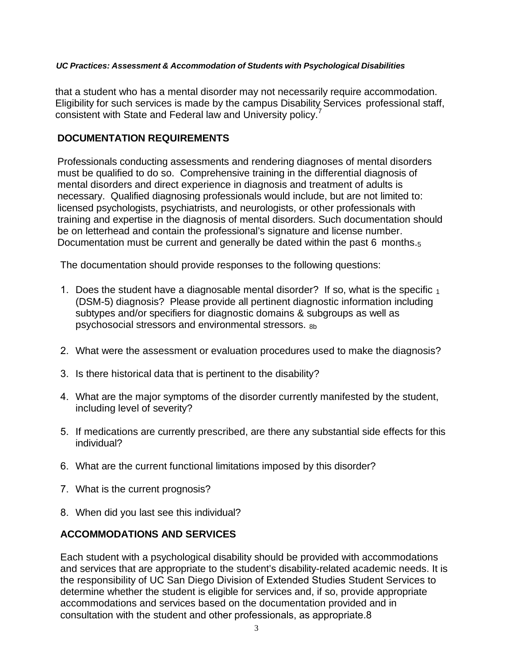#### *UC Practices: Assessment & Accommodation of Students with Psychological Disabilities*

that a student who has a mental disorder may not necessarily require accommodation. Eligibility for such services is made by the campus Disability Services professional staff, consistent with State and Federal law and University policy.

## **DOCUMENTATION REQUIREMENTS**

Professionals conducting assessments and rendering diagnoses of mental disorders must be qualified to do so. Comprehensive training in the differential diagnosis of mental disorders and direct experience in diagnosis and treatment of adults is necessary. Qualified diagnosing professionals would include, but are not limited to: licensed psychologists, psychiatrists, and neurologists, or other professionals with training and expertise in the diagnosis of mental disorders. Such documentation should be on letterhead and contain the professional's signature and license number. Documentation must be current and generally be dated within the past 6 months.<sub>5</sub>

The documentation should provide responses to the following questions:

- 1. Does the student have a diagnosable mental disorder? If so, what is the specific  $_1$ (DSM-5) diagnosis? Please provide all pertinent diagnostic information including subtypes and/or specifiers for diagnostic domains & subgroups as well as psychosocial stressors and environmental stressors.  $8b$
- 2. What were the assessment or evaluation procedures used to make the diagnosis?
- 3. Is there historical data that is pertinent to the disability?
- 4. What are the major symptoms of the disorder currently manifested by the student, including level of severity?
- 5. If medications are currently prescribed, are there any substantial side effects for this individual?
- 6. What are the current functional limitations imposed by this disorder?
- 7. What is the current prognosis?
- 8. When did you last see this individual?

## **ACCOMMODATIONS AND SERVICES**

Each student with a psychological disability should be provided with accommodations and services that are appropriate to the student's disability-related academic needs. It is the responsibility of UC San Diego Division of Extended Studies Student Services to determine whether the student is eligible for services and, if so, provide appropriate accommodations and services based on the documentation provided and in consultation with the student and other professionals, as appropriate.8